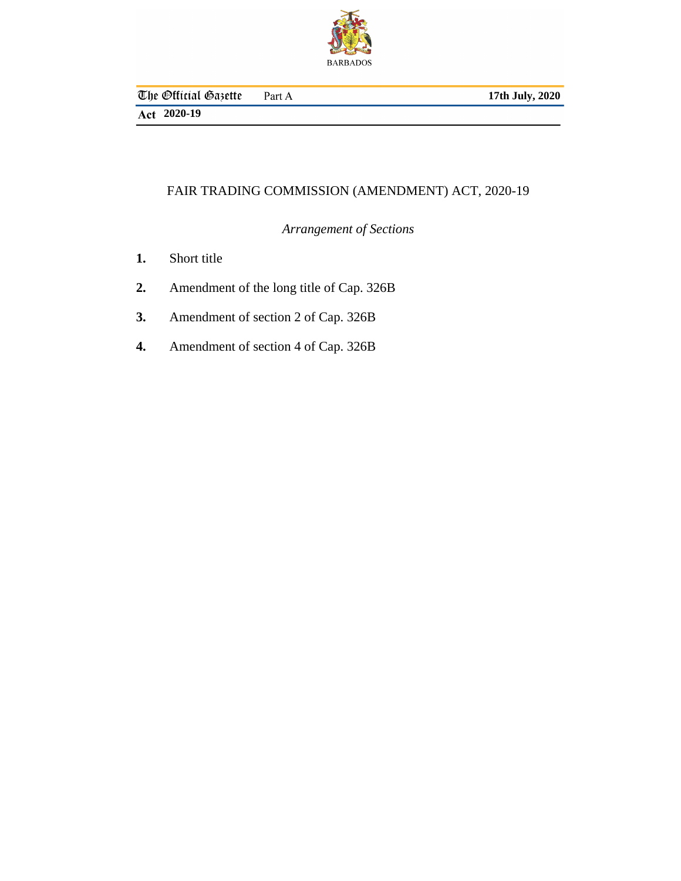

# FAIR TRADING COMMISSION (AMENDMENT) ACT, 2020-19

*Arrangement of Sections*

- [Short title](#page-2-0) **1.**
- [Amendment of the long title of Cap. 326B](#page-2-0) **2.**
- [Amendment of section 2 of Cap. 326B](#page-2-0) **3.**
- [Amendment of section 4 of Cap. 326B](#page-3-0) **4.**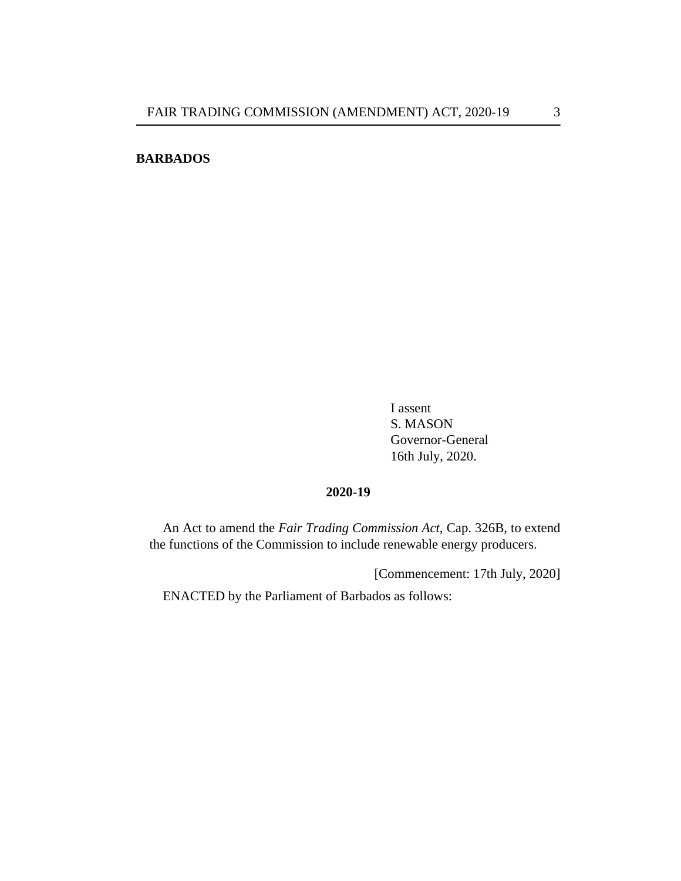# **BARBADOS**

I assent S. MASON Governor-General 16th July, 2020.

### **2020-19**

An Act to amend the *[Fair Trading Commission Act](http://barbadosparliament-laws.com/en/showdoc/cs/326B)*, Cap. 326B, to extend the functions of the Commission to include renewable energy producers.

[Commencement: 17th July, 2020]

ENACTED by the Parliament of Barbados as follows: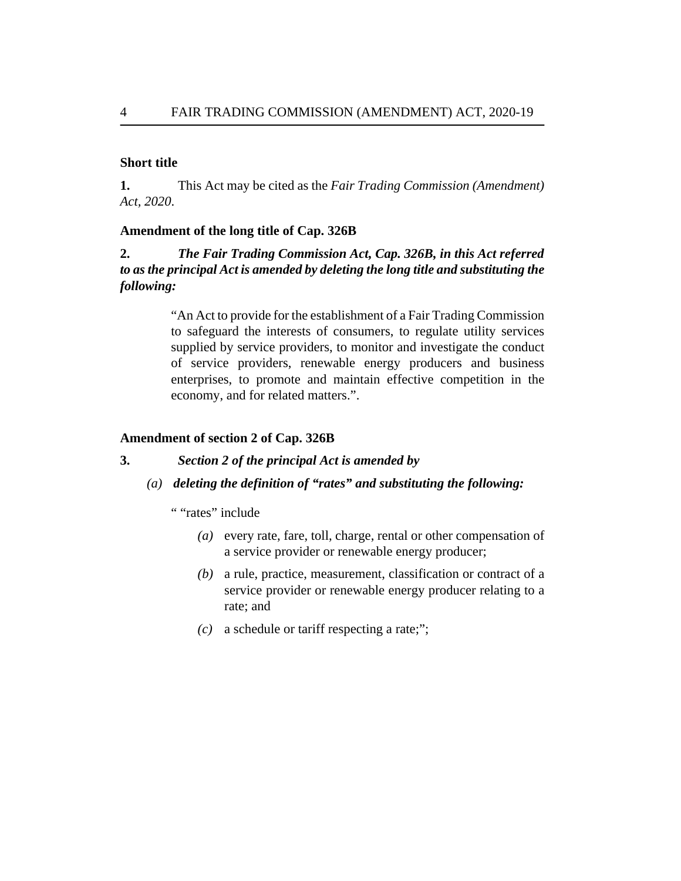### <span id="page-2-0"></span>**Short title**

This Act may be cited as the *Fair Trading Commission (Amendment) Act, 2020*. **1.**

#### **Amendment of the long title of Cap. 326B**

#### *The [Fair Trading Commission Act, Cap. 326B,](http://barbadosparliament-laws.com/en/showdoc/cs/326B) in this Act referred to as the principal Act is amended by deleting the long title and substituting the following:* **2.**

"An Act to provide for the establishment of a Fair Trading Commission to safeguard the interests of consumers, to regulate utility services supplied by service providers, to monitor and investigate the conduct of service providers, renewable energy producers and business enterprises, to promote and maintain effective competition in the economy, and for related matters.".

# **Amendment of section 2 of Cap. 326B**

#### *Section 2 of the principal Act is amended by* **3.**

*deleting the definition of "rates" and substituting the following: (a)*

" "rates" include

- every rate, fare, toll, charge, rental or other compensation of *(a)* a service provider or renewable energy producer;
- a rule, practice, measurement, classification or contract of a *(b)* service provider or renewable energy producer relating to a rate; and
- a schedule or tariff respecting a rate;"; *(c)*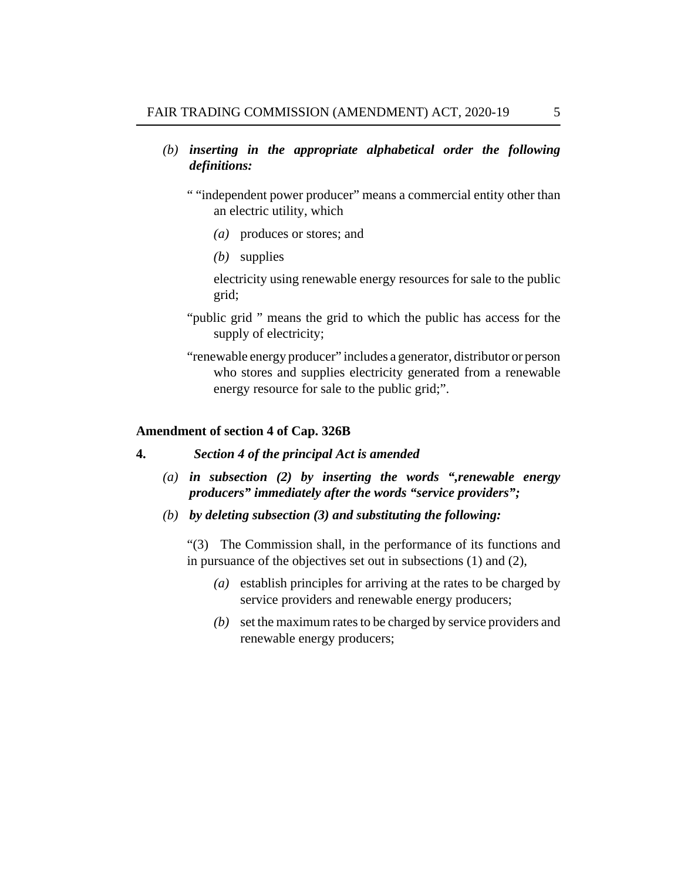- <span id="page-3-0"></span>*inserting in the appropriate alphabetical order the following (b) definitions:*
	- " "independent power producer" means a commercial entity other than an electric utility, which
		- produces or stores; and *(a)*
		- supplies *(b)*

electricity using renewable energy resources for sale to the public grid;

- "public grid " means the grid to which the public has access for the supply of electricity;
- "renewable energy producer" includes a generator, distributor or person who stores and supplies electricity generated from a renewable energy resource for sale to the public grid;".

#### **Amendment of section 4 of Cap. 326B**

#### *Section 4 of the principal Act is amended* **4.**

- *in subsection (2) by inserting the words ",renewable energy (a) producers" immediately after the words "service providers";*
- *by deleting subsection (3) and substituting the following: (b)*

"(3) The Commission shall, in the performance of its functions and in pursuance of the objectives set out in subsections (1) and (2),

- establish principles for arriving at the rates to be charged by *(a)* service providers and renewable energy producers;
- (b) set the maximum rates to be charged by service providers and renewable energy producers;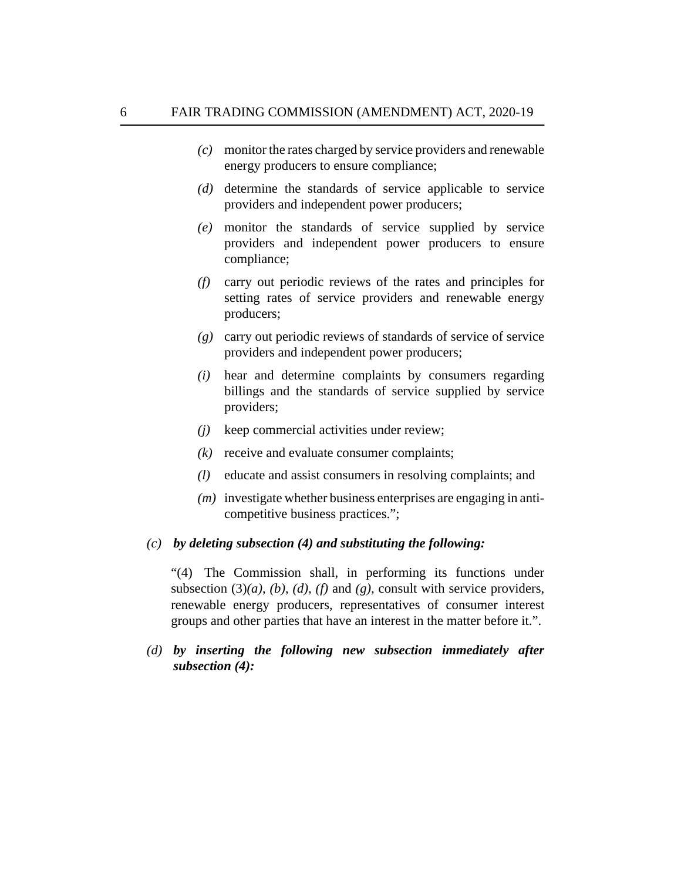- monitor the rates charged by service providers and renewable *(c)* energy producers to ensure compliance;
- (d) determine the standards of service applicable to service providers and independent power producers;
- monitor the standards of service supplied by service *(e)* providers and independent power producers to ensure compliance;
- carry out periodic reviews of the rates and principles for *(f)* setting rates of service providers and renewable energy producers;
- carry out periodic reviews of standards of service of service *(g)* providers and independent power producers;
- hear and determine complaints by consumers regarding *(i)* billings and the standards of service supplied by service providers;
- keep commercial activities under review; *(j)*
- receive and evaluate consumer complaints; *(k)*
- educate and assist consumers in resolving complaints; and *(l)*
- (*m*) investigate whether business enterprises are engaging in anticompetitive business practices.";

# *by deleting subsection (4) and substituting the following: (c)*

"(4) The Commission shall, in performing its functions under subsection  $(3)(a)$ ,  $(b)$ ,  $(d)$ ,  $(f)$  and  $(g)$ , consult with service providers, renewable energy producers, representatives of consumer interest groups and other parties that have an interest in the matter before it.".

# *by inserting the following new subsection immediately after (d) subsection (4):*